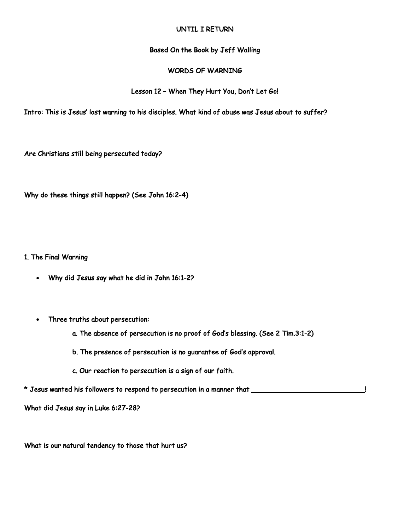## UNTIL I RETURN

## Based On the Book by Jeff Walling

## WORDS OF WARNING

## Lesson 12 – When They Hurt You, Don't Let Go!

Intro: This is Jesus' last warning to his disciples. What kind of abuse was Jesus about to suffer?

Are Christians still being persecuted today?

Why do these things still happen? (See John 16:2-4)

1. The Final Warning

- Why did Jesus say what he did in John 16:1-2?
- Three truths about persecution:
	- a. The absence of persecution is no proof of God's blessing. (See 2 Tim.3:1-2)
	- b. The presence of persecution is no guarantee of God's approval.
	- c. Our reaction to persecution is a sign of our faith.

\* Jesus wanted his followers to respond to persecution in a manner that \_\_\_\_\_\_\_\_\_\_\_\_\_\_\_\_\_\_\_\_\_\_\_\_\_\_\_!

What did Jesus say in Luke 6:27-28?

What is our natural tendency to those that hurt us?